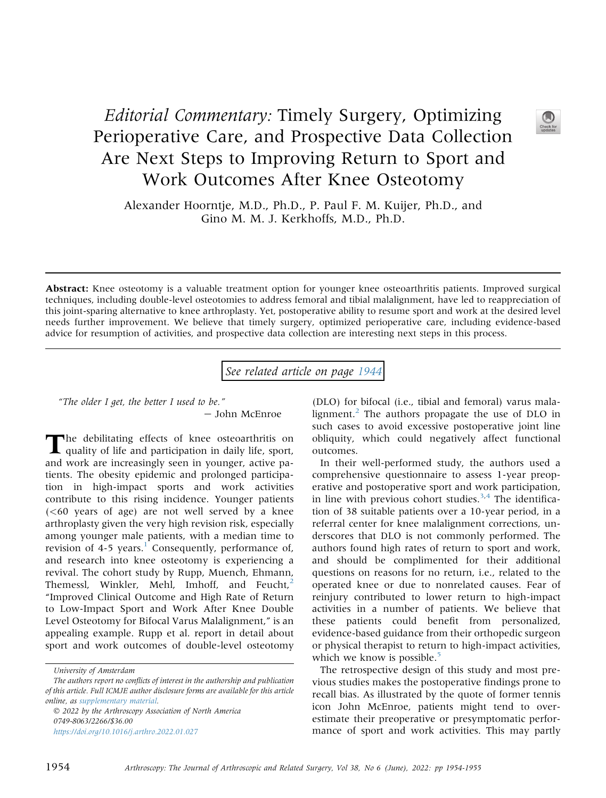## Editorial Commentary: Timely Surgery, Optimizing Perioperative Care, and Prospective Data Collection Are Next Steps to Improving Return to Sport and Work Outcomes After Knee Osteotomy



Alexander Hoorntje, M.D., Ph.D., P. Paul F. M. Kuijer, Ph.D., and Gino M. M. J. Kerkhoffs, M.D., Ph.D.

Abstract: Knee osteotomy is a valuable treatment option for younger knee osteoarthritis patients. Improved surgical techniques, including double-level osteotomies to address femoral and tibial malalignment, have led to reappreciation of this joint-sparing alternative to knee arthroplasty. Yet, postoperative ability to resume sport and work at the desired level needs further improvement. We believe that timely surgery, optimized perioperative care, including evidence-based advice for resumption of activities, and prospective data collection are interesting next steps in this process.

See related article on page [1944](http://www.arthroscopyjournal.org/article/S0749-8063(21)01086-0/abstract)

"The older  $I$  get, the better  $I$  used to be." - John McEnroe

The debilitating effects of knee osteoarthritis on quality of life and participation in daily life, sport, and work are increasingly seen in younger, active patients. The obesity epidemic and prolonged participation in high-impact sports and work activities contribute to this rising incidence. Younger patients  $(**60**$  years of age) are not well served by a knee arthroplasty given the very high revision risk, especially among younger male patients, with a median time to revision of  $4-5$  years.<sup>[1](#page-1-0)</sup> Consequently, performance of, and research into knee osteotomy is experiencing a revival. The cohort study by Rupp, Muench, Ehmann, Themessl, Winkler, Mehl, Imhoff, and Feucht,<sup>[2](#page-1-1)</sup> "Improved Clinical Outcome and High Rate of Return to Low-Impact Sport and Work After Knee Double Level Osteotomy for Bifocal Varus Malalignment," is an appealing example. Rupp et al. report in detail about sport and work outcomes of double-level osteotomy

 2022 by the Arthroscopy Association of North America 0749-8063/2266/\$36.00 <https://doi.org/10.1016/j.arthro.2022.01.027>

(DLO) for bifocal (i.e., tibial and femoral) varus malalignment. $^2$  $^2$  The authors propagate the use of DLO in such cases to avoid excessive postoperative joint line obliquity, which could negatively affect functional outcomes.

In their well-performed study, the authors used a comprehensive questionnaire to assess 1-year preoperative and postoperative sport and work participation, in line with previous cohort studies. $3.4$  $3.4$  $3.4$  The identification of 38 suitable patients over a 10-year period, in a referral center for knee malalignment corrections, underscores that DLO is not commonly performed. The authors found high rates of return to sport and work, and should be complimented for their additional questions on reasons for no return, i.e., related to the operated knee or due to nonrelated causes. Fear of reinjury contributed to lower return to high-impact activities in a number of patients. We believe that these patients could benefit from personalized, evidence-based guidance from their orthopedic surgeon or physical therapist to return to high-impact activities, which we know is possible. $\frac{5}{5}$  $\frac{5}{5}$  $\frac{5}{5}$ 

The retrospective design of this study and most previous studies makes the postoperative findings prone to recall bias. As illustrated by the quote of former tennis icon John McEnroe, patients might tend to overestimate their preoperative or presymptomatic performance of sport and work activities. This may partly

University of Amsterdam

The authors report no conflicts of interest in the authorship and publication of this article. Full ICMJE author disclosure forms are available for this article online, as supplementary material.